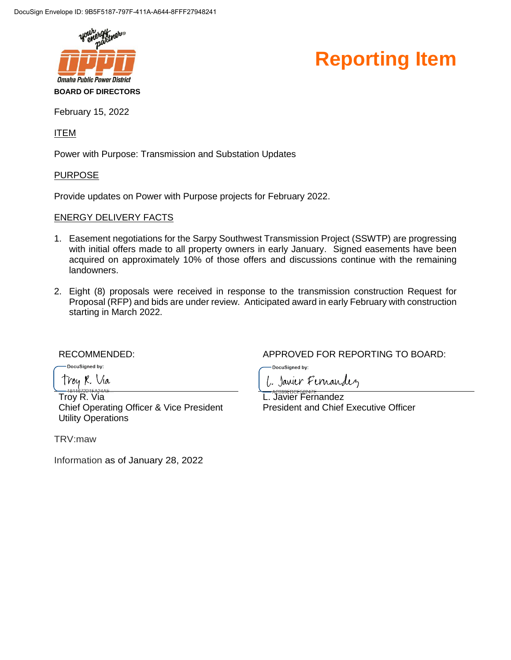



February 15, 2022

ITEM

Power with Purpose: Transmission and Substation Updates

#### PURPOSE

Provide updates on Power with Purpose projects for February 2022.

#### ENERGY DELIVERY FACTS

- 1. Easement negotiations for the Sarpy Southwest Transmission Project (SSWTP) are progressing with initial offers made to all property owners in early January. Signed easements have been acquired on approximately 10% of those offers and discussions continue with the remaining landowners.
- 2. Eight (8) proposals were received in response to the transmission construction Request for Proposal (RFP) and bids are under review. Anticipated award in early February with construction starting in March 2022.

-DocuSianed by:

Troy R. Via

Troy R. Via Chief Operating Officer & Vice President Utility Operations

TRV:maw

Information as of January 28, 2022

RECOMMENDED:  $APPROVED$  FOR REPORTING TO BOARD:

DocuSigned by:

1. Janier Fernandez

L. Javier Fernandez President and Chief Executive Officer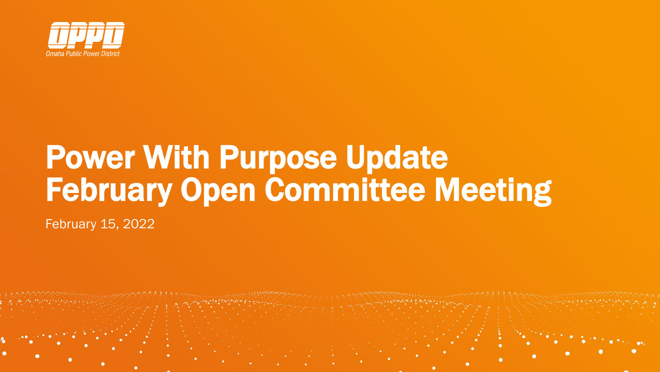

# Power With Purpose Update February Open Committee Meeting

February 15, 2022

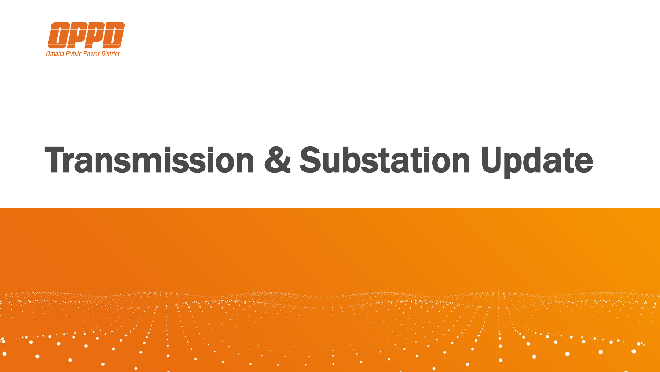

# Transmission & Substation Update

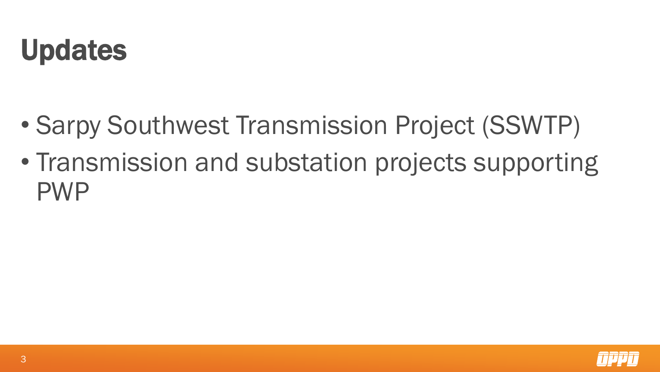### Updates

- Sarpy Southwest Transmission Project (SSWTP)
- Transmission and substation projects supporting PWP

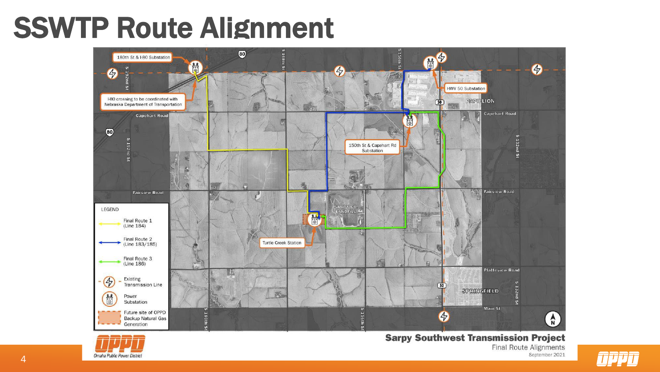### SSWTP Route Alignment





**Sarpy Southwest Transmission Project Final Route Alignments** September 2021

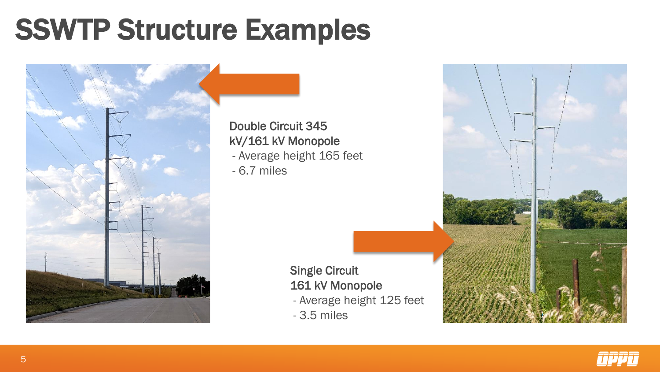### SSWTP Structure Examples



Double Circuit 345 kV/161 kV Monopole

- Average height 165 feet

- 6.7 miles

Single Circuit 161 kV Monopole

- Average height 125 feet
- 3.5 miles



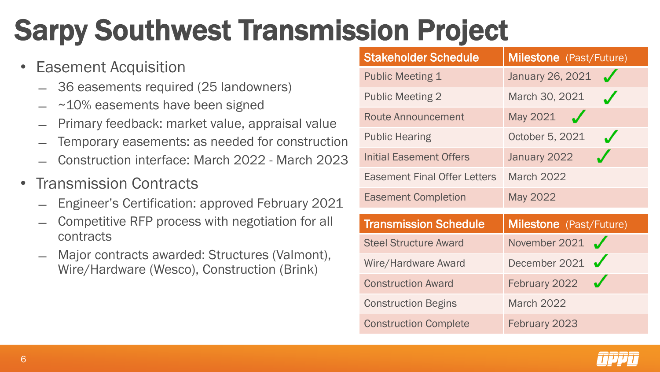# Sarpy Southwest Transmission Project

- Easement Acquisition
	- ̶ 36 easements required (25 landowners)
	- $~10\%$  easements have been signed
	- ̶ Primary feedback: market value, appraisal value
	- Temporary easements: as needed for construction
	- ̶ Construction interface: March 2022 March 2023
- Transmission Contracts
	- ̶ Engineer's Certification: approved February 2021
	- ̶ Competitive RFP process with negotiation for all contracts
	- Major contracts awarded: Structures (Valmont), Wire/Hardware (Wesco), Construction (Brink)

| <b>Stakeholder Schedule</b>         | <b>Milestone</b> (Past/Future) |
|-------------------------------------|--------------------------------|
| <b>Public Meeting 1</b>             | January 26, 2021               |
| <b>Public Meeting 2</b>             | March 30, 2021                 |
| <b>Route Announcement</b>           | May 2021                       |
| <b>Public Hearing</b>               | October 5, 2021                |
| <b>Initial Easement Offers</b>      | January 2022                   |
| <b>Easement Final Offer Letters</b> | <b>March 2022</b>              |
| <b>Easement Completion</b>          | May 2022                       |
| <b>Transmission Schedule</b>        | Milestone (Past/Future)        |
| <b>Steel Structure Award</b>        | November 2021 $\sqrt$          |
| Wire/Hardware Award                 | December 2021 $\sqrt$          |
| <b>Construction Award</b>           | February 2022                  |
| <b>Construction Begins</b>          | <b>March 2022</b>              |
| <b>Construction Complete</b>        | February 2023                  |

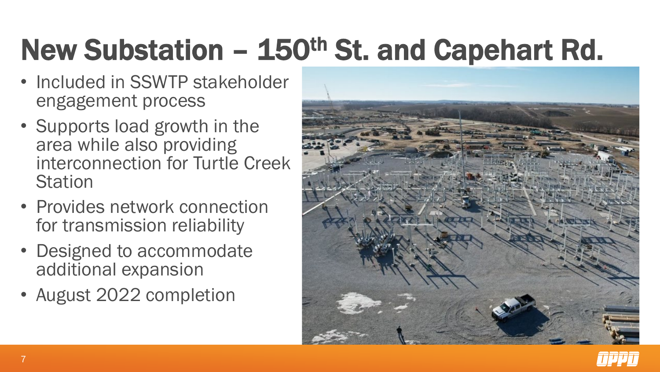# New Substation – 150th St. and Capehart Rd.

- Included in SSWTP stakeholder engagement process
- Supports load growth in the area while also providing interconnection for Turtle Creek **Station**
- Provides network connection for transmission reliability
- Designed to accommodate additional expansion
- August 2022 completion